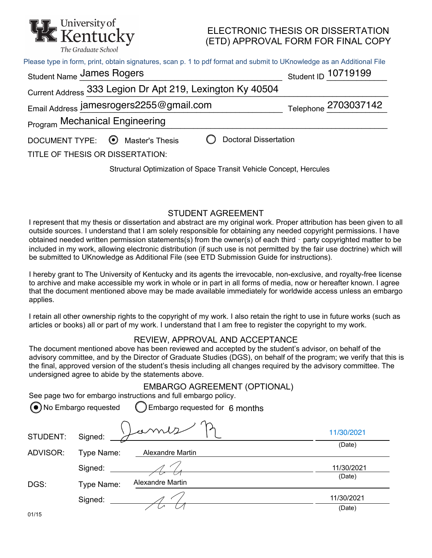

## ELECTRONIC THESIS OR DISSERTATION (ETD) APPROVAL FORM FOR FINAL COPY

| Please type in form, print, obtain signatures, scan p. 1 to pdf format and submit to UKnowledge as an Additional File |                      |  |  |  |
|-----------------------------------------------------------------------------------------------------------------------|----------------------|--|--|--|
| <b>Student Name James Rogers</b>                                                                                      | Student ID 10719199  |  |  |  |
| Current Address 333 Legion Dr Apt 219, Lexington Ky 40504                                                             |                      |  |  |  |
| Email Address jamesrogers2255@gmail.com                                                                               | Telephone 2703037142 |  |  |  |
| <b>Program Mechanical Engineering</b>                                                                                 |                      |  |  |  |
| <b>Doctoral Dissertation</b><br>DOCUMENT TYPE: ◯ Master's Thesis<br>TITLE OF THESIS OR DISSERTATION:                  |                      |  |  |  |

# Structural Optimization of Space Transit Vehicle Concept, Hercules

#### STUDENT AGREEMENT

I represent that my thesis or dissertation and abstract are my original work. Proper attribution has been given to all outside sources. I understand that I am solely responsible for obtaining any needed copyright permissions. I have obtained needed written permission statements(s) from the owner(s) of each third - party copyrighted matter to be included in my work, allowing electronic distribution (if such use is not permitted by the fair use doctrine) which will be submitted to UKnowledge as Additional File (see ETD Submission Guide for instructions).

I hereby grant to The University of Kentucky and its agents the irrevocable, non-exclusive, and royalty-free license to archive and make accessible my work in whole or in part in all forms of media, now or hereafter known. I agree that the document mentioned above may be made available immediately for worldwide access unless an embargo applies.

I retain all other ownership rights to the copyright of my work. I also retain the right to use in future works (such as articles or books) all or part of my work. I understand that I am free to register the copyright to my work.

### REVIEW, APPROVAL AND ACCEPTANCE

The document mentioned above has been reviewed and accepted by the student's advisor, on behalf of the advisory committee, and by the Director of Graduate Studies (DGS), on behalf of the program; we verify that this is the final, approved version of the student's thesis including all changes required by the advisory committee. The undersigned agree to abide by the statements above.

|          | (●) No Embargo requested | Embargo requested for 6 months |            |
|----------|--------------------------|--------------------------------|------------|
| STUDENT: | Signed:                  | semb                           | 11/30/2021 |
| ADVISOR: | Type Name:               | <b>Alexandre Martin</b>        | (Date)     |
|          | Signed:                  |                                | 11/30/2021 |
| DGS:     | Type Name:               | <b>Alexandre Martin</b>        | (Date)     |
|          | Signed:                  |                                | 11/30/2021 |
| 01/15    |                          |                                | (Date)     |

# EMBARGO AGREEMENT (OPTIONAL)

See page two for embargo instructions and full embargo policy. No Embargo requested Embargo requested for